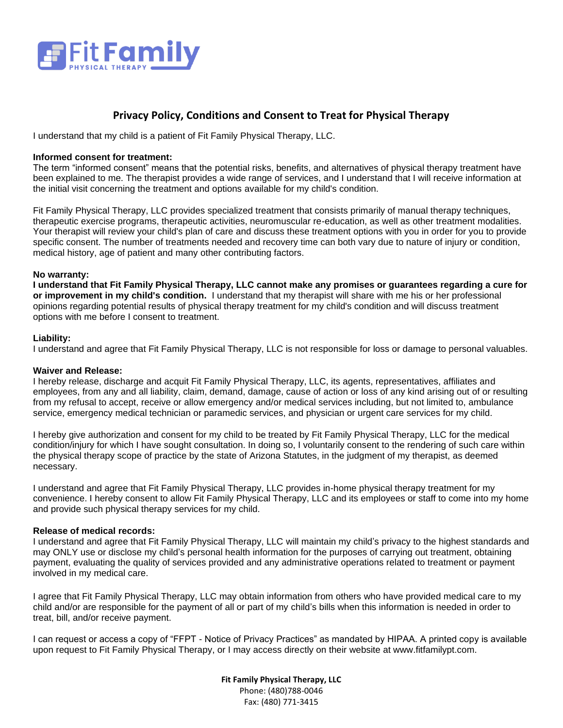

## **Privacy Policy, Conditions and Consent to Treat for Physical Therapy**

I understand that my child is a patient of Fit Family Physical Therapy, LLC.

### **Informed consent for treatment:**

The term "informed consent" means that the potential risks, benefits, and alternatives of physical therapy treatment have been explained to me. The therapist provides a wide range of services, and I understand that I will receive information at the initial visit concerning the treatment and options available for my child's condition.

Fit Family Physical Therapy, LLC provides specialized treatment that consists primarily of manual therapy techniques, therapeutic exercise programs, therapeutic activities, neuromuscular re-education, as well as other treatment modalities. Your therapist will review your child's plan of care and discuss these treatment options with you in order for you to provide specific consent. The number of treatments needed and recovery time can both vary due to nature of injury or condition, medical history, age of patient and many other contributing factors.

### **No warranty:**

**I understand that Fit Family Physical Therapy, LLC cannot make any promises or guarantees regarding a cure for or improvement in my child's condition.** I understand that my therapist will share with me his or her professional opinions regarding potential results of physical therapy treatment for my child's condition and will discuss treatment options with me before I consent to treatment.

### **Liability:**

I understand and agree that Fit Family Physical Therapy, LLC is not responsible for loss or damage to personal valuables.

#### **Waiver and Release:**

I hereby release, discharge and acquit Fit Family Physical Therapy, LLC, its agents, representatives, affiliates and employees, from any and all liability, claim, demand, damage, cause of action or loss of any kind arising out of or resulting from my refusal to accept, receive or allow emergency and/or medical services including, but not limited to, ambulance service, emergency medical technician or paramedic services, and physician or urgent care services for my child.

I hereby give authorization and consent for my child to be treated by Fit Family Physical Therapy, LLC for the medical condition/injury for which I have sought consultation. In doing so, I voluntarily consent to the rendering of such care within the physical therapy scope of practice by the state of Arizona Statutes, in the judgment of my therapist, as deemed necessary.

I understand and agree that Fit Family Physical Therapy, LLC provides in-home physical therapy treatment for my convenience. I hereby consent to allow Fit Family Physical Therapy, LLC and its employees or staff to come into my home and provide such physical therapy services for my child.

## **Release of medical records:**

I understand and agree that Fit Family Physical Therapy, LLC will maintain my child's privacy to the highest standards and may ONLY use or disclose my child's personal health information for the purposes of carrying out treatment, obtaining payment, evaluating the quality of services provided and any administrative operations related to treatment or payment involved in my medical care.

I agree that Fit Family Physical Therapy, LLC may obtain information from others who have provided medical care to my child and/or are responsible for the payment of all or part of my child's bills when this information is needed in order to treat, bill, and/or receive payment.

I can request or access a copy of "FFPT - Notice of Privacy Practices" as mandated by HIPAA. A printed copy is available upon request to Fit Family Physical Therapy, or I may access directly on their website at www.fitfamilypt.com.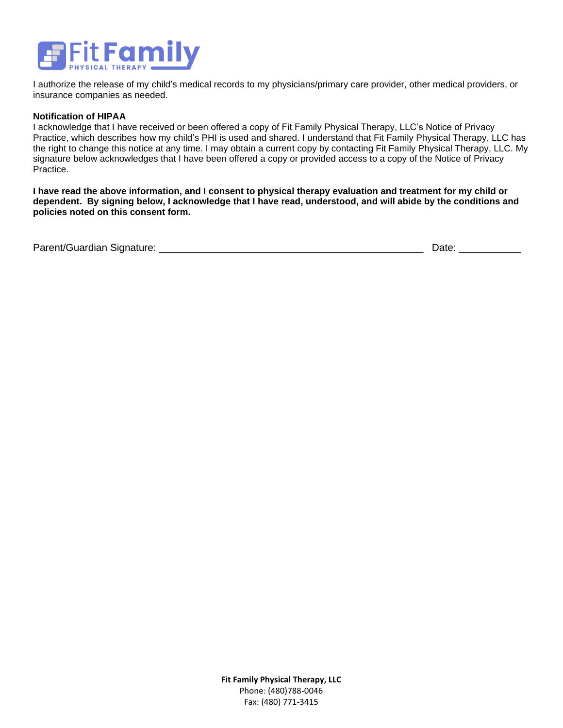

I authorize the release of my child's medical records to my physicians/primary care provider, other medical providers, or insurance companies as needed.

### **Notification of HIPAA**

I acknowledge that I have received or been offered a copy of Fit Family Physical Therapy, LLC's Notice of Privacy Practice, which describes how my child's PHI is used and shared. I understand that Fit Family Physical Therapy, LLC has the right to change this notice at any time. I may obtain a current copy by contacting Fit Family Physical Therapy, LLC. My signature below acknowledges that I have been offered a copy or provided access to a copy of the Notice of Privacy Practice.

**I have read the above information, and I consent to physical therapy evaluation and treatment for my child or dependent. By signing below, I acknowledge that I have read, understood, and will abide by the conditions and policies noted on this consent form.**

|  | Parent/Guardian Signature: |  | ⊃ate <sup>.</sup> |
|--|----------------------------|--|-------------------|
|--|----------------------------|--|-------------------|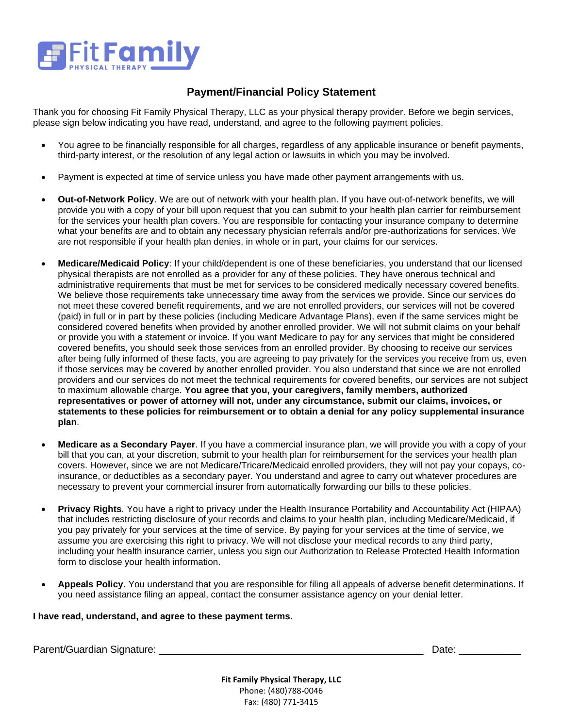

## **Payment/Financial Policy Statement**

Thank you for choosing Fit Family Physical Therapy, LLC as your physical therapy provider. Before we begin services, please sign below indicating you have read, understand, and agree to the following payment policies.

- You agree to be financially responsible for all charges, regardless of any applicable insurance or benefit payments, third-party interest, or the resolution of any legal action or lawsuits in which you may be involved.
- Payment is expected at time of service unless you have made other payment arrangements with us.
- **Out-of-Network Policy**. We are out of network with your health plan. If you have out-of-network benefits, we will provide you with a copy of your bill upon request that you can submit to your health plan carrier for reimbursement for the services your health plan covers. You are responsible for contacting your insurance company to determine what your benefits are and to obtain any necessary physician referrals and/or pre-authorizations for services. We are not responsible if your health plan denies, in whole or in part, your claims for our services.
- **Medicare/Medicaid Policy**: If your child/dependent is one of these beneficiaries, you understand that our licensed physical therapists are not enrolled as a provider for any of these policies. They have onerous technical and administrative requirements that must be met for services to be considered medically necessary covered benefits. We believe those requirements take unnecessary time away from the services we provide. Since our services do not meet these covered benefit requirements, and we are not enrolled providers, our services will not be covered (paid) in full or in part by these policies (including Medicare Advantage Plans), even if the same services might be considered covered benefits when provided by another enrolled provider. We will not submit claims on your behalf or provide you with a statement or invoice. If you want Medicare to pay for any services that might be considered covered benefits, you should seek those services from an enrolled provider. By choosing to receive our services after being fully informed of these facts, you are agreeing to pay privately for the services you receive from us, even if those services may be covered by another enrolled provider. You also understand that since we are not enrolled providers and our services do not meet the technical requirements for covered benefits, our services are not subject to maximum allowable charge. **You agree that you, your caregivers, family members, authorized representatives or power of attorney will not, under any circumstance, submit our claims, invoices, or statements to these policies for reimbursement or to obtain a denial for any policy supplemental insurance plan**.
- **Medicare as a Secondary Payer**. If you have a commercial insurance plan, we will provide you with a copy of your bill that you can, at your discretion, submit to your health plan for reimbursement for the services your health plan covers. However, since we are not Medicare/Tricare/Medicaid enrolled providers, they will not pay your copays, coinsurance, or deductibles as a secondary payer. You understand and agree to carry out whatever procedures are necessary to prevent your commercial insurer from automatically forwarding our bills to these policies.
- **Privacy Rights**. You have a right to privacy under the Health Insurance Portability and Accountability Act (HIPAA) that includes restricting disclosure of your records and claims to your health plan, including Medicare/Medicaid, if you pay privately for your services at the time of service. By paying for your services at the time of service, we assume you are exercising this right to privacy. We will not disclose your medical records to any third party, including your health insurance carrier, unless you sign our Authorization to Release Protected Health Information form to disclose your health information.
- **Appeals Policy**. You understand that you are responsible for filing all appeals of adverse benefit determinations. If you need assistance filing an appeal, contact the consumer assistance agency on your denial letter.

## **I have read, understand, and agree to these payment terms.**

Parent/Guardian Signature: \_\_\_\_\_\_\_\_\_\_\_\_\_\_\_\_\_\_\_\_\_\_\_\_\_\_\_\_\_\_\_\_\_\_\_\_\_\_\_\_\_\_\_\_\_\_\_ Date: \_\_\_\_\_\_\_\_\_\_\_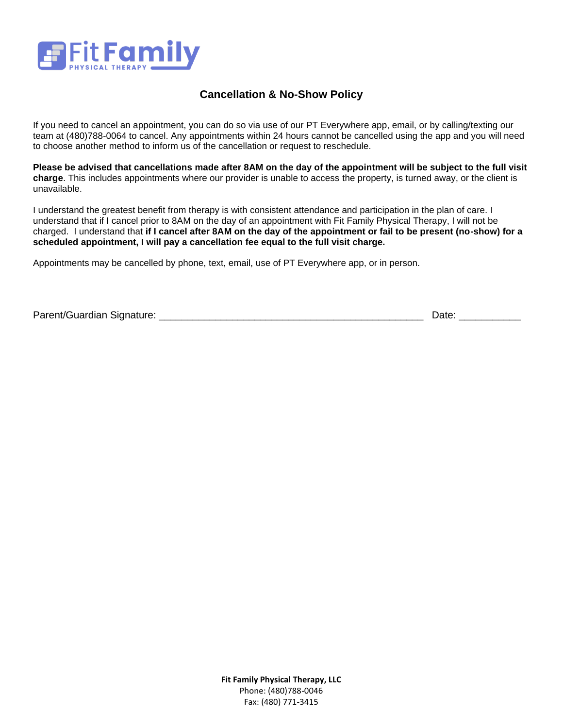

# **Cancellation & No-Show Policy**

If you need to cancel an appointment, you can do so via use of our PT Everywhere app, email, or by calling/texting our team at (480)788-0064 to cancel. Any appointments within 24 hours cannot be cancelled using the app and you will need to choose another method to inform us of the cancellation or request to reschedule.

**Please be advised that cancellations made after 8AM on the day of the appointment will be subject to the full visit charge**. This includes appointments where our provider is unable to access the property, is turned away, or the client is unavailable.

I understand the greatest benefit from therapy is with consistent attendance and participation in the plan of care. I understand that if I cancel prior to 8AM on the day of an appointment with Fit Family Physical Therapy, I will not be charged. I understand that **if I cancel after 8AM on the day of the appointment or fail to be present (no-show) for a scheduled appointment, I will pay a cancellation fee equal to the full visit charge.** 

Appointments may be cancelled by phone, text, email, use of PT Everywhere app, or in person.

Parent/Guardian Signature: \_\_\_\_\_\_\_\_\_\_\_\_\_\_\_\_\_\_\_\_\_\_\_\_\_\_\_\_\_\_\_\_\_\_\_\_\_\_\_\_\_\_\_\_\_\_\_ Date: \_\_\_\_\_\_\_\_\_\_\_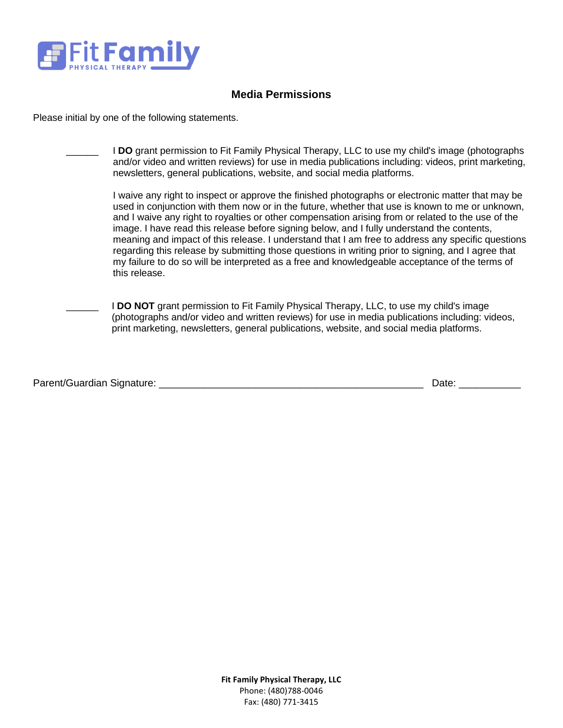

# **Media Permissions**

Please initial by one of the following statements.

| I DO grant permission to Fit Family Physical Therapy, LLC to use my child's image (photographs<br>and/or video and written reviews) for use in media publications including: videos, print marketing,<br>newsletters, general publications, website, and social media platforms.                                                                                                                                                                                                                                                                                                                                                                                                                                                       |
|----------------------------------------------------------------------------------------------------------------------------------------------------------------------------------------------------------------------------------------------------------------------------------------------------------------------------------------------------------------------------------------------------------------------------------------------------------------------------------------------------------------------------------------------------------------------------------------------------------------------------------------------------------------------------------------------------------------------------------------|
| I waive any right to inspect or approve the finished photographs or electronic matter that may be<br>used in conjunction with them now or in the future, whether that use is known to me or unknown,<br>and I waive any right to royalties or other compensation arising from or related to the use of the<br>image. I have read this release before signing below, and I fully understand the contents,<br>meaning and impact of this release. I understand that I am free to address any specific questions<br>regarding this release by submitting those questions in writing prior to signing, and I agree that<br>my failure to do so will be interpreted as a free and knowledgeable acceptance of the terms of<br>this release. |
| <b>I DO NOT</b> grant permission to Fit Family Physical Therapy, LLC, to use my child's image<br>(photographs and/or video and written reviews) for use in media publications including: videos,<br>print marketing, newsletters, general publications, website, and social media platforms.                                                                                                                                                                                                                                                                                                                                                                                                                                           |

| Parent/Guardian Signature: | ⊃ate <sup>.</sup> |
|----------------------------|-------------------|
|----------------------------|-------------------|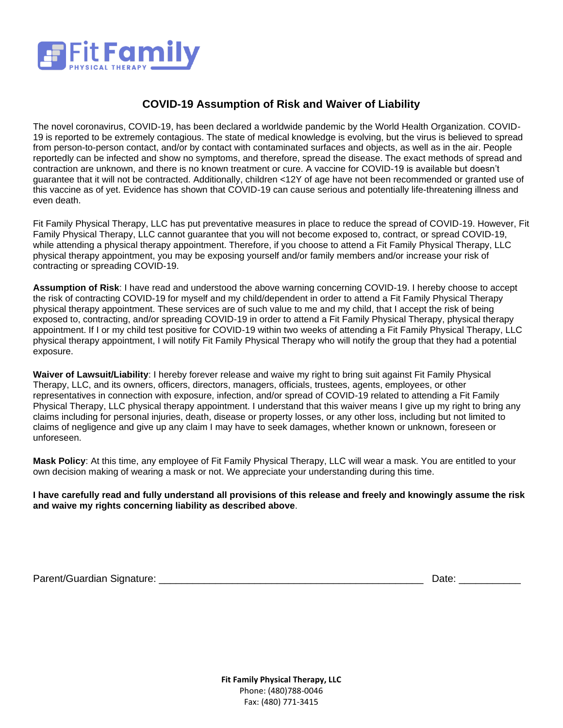

# **COVID-19 Assumption of Risk and Waiver of Liability**

The novel coronavirus, COVID-19, has been declared a worldwide pandemic by the World Health Organization. COVID-19 is reported to be extremely contagious. The state of medical knowledge is evolving, but the virus is believed to spread from person-to-person contact, and/or by contact with contaminated surfaces and objects, as well as in the air. People reportedly can be infected and show no symptoms, and therefore, spread the disease. The exact methods of spread and contraction are unknown, and there is no known treatment or cure. A vaccine for COVID-19 is available but doesn't guarantee that it will not be contracted. Additionally, children <12Y of age have not been recommended or granted use of this vaccine as of yet. Evidence has shown that COVID-19 can cause serious and potentially life-threatening illness and even death.

Fit Family Physical Therapy, LLC has put preventative measures in place to reduce the spread of COVID-19. However, Fit Family Physical Therapy, LLC cannot guarantee that you will not become exposed to, contract, or spread COVID-19, while attending a physical therapy appointment. Therefore, if you choose to attend a Fit Family Physical Therapy, LLC physical therapy appointment, you may be exposing yourself and/or family members and/or increase your risk of contracting or spreading COVID-19.

**Assumption of Risk**: I have read and understood the above warning concerning COVID-19. I hereby choose to accept the risk of contracting COVID-19 for myself and my child/dependent in order to attend a Fit Family Physical Therapy physical therapy appointment. These services are of such value to me and my child, that I accept the risk of being exposed to, contracting, and/or spreading COVID-19 in order to attend a Fit Family Physical Therapy, physical therapy appointment. If I or my child test positive for COVID-19 within two weeks of attending a Fit Family Physical Therapy, LLC physical therapy appointment, I will notify Fit Family Physical Therapy who will notify the group that they had a potential exposure.

**Waiver of Lawsuit/Liability**: I hereby forever release and waive my right to bring suit against Fit Family Physical Therapy, LLC, and its owners, officers, directors, managers, officials, trustees, agents, employees, or other representatives in connection with exposure, infection, and/or spread of COVID-19 related to attending a Fit Family Physical Therapy, LLC physical therapy appointment. I understand that this waiver means I give up my right to bring any claims including for personal injuries, death, disease or property losses, or any other loss, including but not limited to claims of negligence and give up any claim I may have to seek damages, whether known or unknown, foreseen or unforeseen.

**Mask Policy**: At this time, any employee of Fit Family Physical Therapy, LLC will wear a mask. You are entitled to your own decision making of wearing a mask or not. We appreciate your understanding during this time.

**I have carefully read and fully understand all provisions of this release and freely and knowingly assume the risk and waive my rights concerning liability as described above**.

Parent/Guardian Signature: \_\_\_\_\_\_\_\_\_\_\_\_\_\_\_\_\_\_\_\_\_\_\_\_\_\_\_\_\_\_\_\_\_\_\_\_\_\_\_\_\_\_\_\_\_\_\_ Date: \_\_\_\_\_\_\_\_\_\_\_